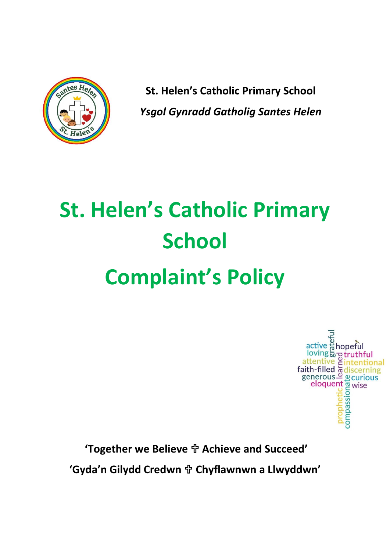

**St. Helen's Catholic Primary School** *Ysgol Gynradd Gatholig Santes Helen*

# **St. Helen's Catholic Primary School Complaint's Policy**

active # hopeful<br>
loving & pruthful<br>
attentive & intentional<br>
faith-filled & discerning<br>
generous <u>and</u> gurious<br>
eloquent a wise<br>
the disconsing<br>
the disconsing<br>
delays in the disconsing<br>
delays in the disconsing<br>
delays i

**'Together we Believe Achieve and Succeed'**

**'Gyda'n Gilydd Credwn Chyflawnwn a Llwyddwn'**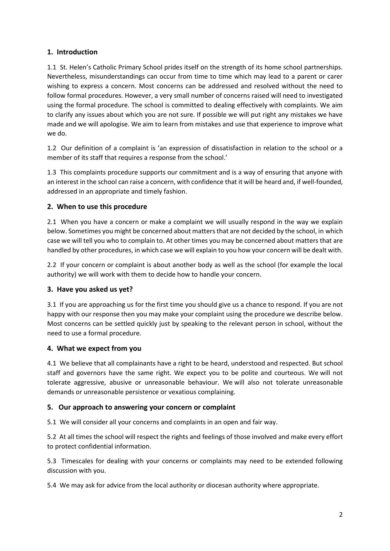# **1. Introduction**

1.1 St. Helen's Catholic Primary School prides itself on the strength of its home school partnerships. Nevertheless, misunderstandings can occur from time to time which may lead to a parent or carer wishing to express a concern. Most concerns can be addressed and resolved without the need to follow formal procedures. However, a very small number of concerns raised will need to investigated using the formal procedure. The school is committed to dealing effectively with complaints. We aim to clarify any issues about which you are not sure. If possible we will put right any mistakes we have made and we will apologise. We aim to learn from mistakes and use that experience to improve what we do.

1.2 Our definition of a complaint is 'an expression of dissatisfaction in relation to the school or a member of its staff that requires a response from the school.'

1.3 This complaints procedure supports our commitment and is a way of ensuring that anyone with an interest in the school can raise a concern, with confidence that it will be heard and, if well-founded, addressed in an appropriate and timely fashion.

## **2. When to use this procedure**

2.1 When you have a concern or make a complaint we will usually respond in the way we explain below. Sometimes you might be concerned about matters that are not decided by the school, in which case we will tell you who to complain to. At other times you may be concerned about matters that are handled by other procedures, in which case we will explain to you how your concern will be dealt with.

2.2 If your concern or complaint is about another body as well as the school (for example the local authority) we will work with them to decide how to handle your concern.

# **3. Have you asked us yet?**

3.1 If you are approaching us for the first time you should give us a chance to respond. If you are not happy with our response then you may make your complaint using the procedure we describe below. Most concerns can be settled quickly just by speaking to the relevant person in school, without the need to use a formal procedure.

## **4. What we expect from you**

4.1 We believe that all complainants have a right to be heard, understood and respected. But school staff and governors have the same right. We expect you to be polite and courteous. We will not tolerate aggressive, abusive or unreasonable behaviour. We will also not tolerate unreasonable demands or unreasonable persistence or vexatious complaining.

## **5. Our approach to answering your concern or complaint**

5.1 We will consider all your concerns and complaints in an open and fair way.

5.2 At all times the school will respect the rights and feelings of those involved and make every effort to protect confidential information.

5.3 Timescales for dealing with your concerns or complaints may need to be extended following discussion with you.

5.4 We may ask for advice from the local authority or diocesan authority where appropriate.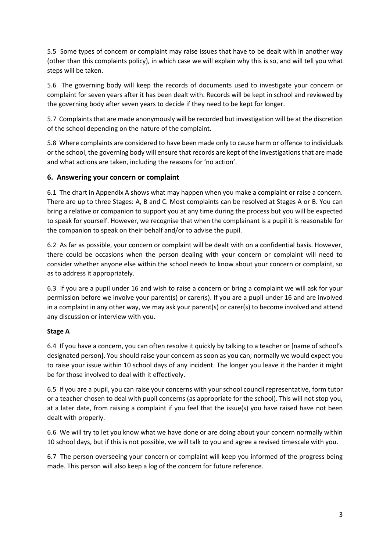5.5 Some types of concern or complaint may raise issues that have to be dealt with in another way (other than this complaints policy), in which case we will explain why this is so, and will tell you what steps will be taken.

5.6 The governing body will keep the records of documents used to investigate your concern or complaint for seven years after it has been dealt with. Records will be kept in school and reviewed by the governing body after seven years to decide if they need to be kept for longer.

5.7 Complaints that are made anonymously will be recorded but investigation will be at the discretion of the school depending on the nature of the complaint.

5.8 Where complaints are considered to have been made only to cause harm or offence to individuals or the school, the governing body will ensure that records are kept of the investigations that are made and what actions are taken, including the reasons for 'no action'.

# **6. Answering your concern or complaint**

6.1 The chart in Appendix A shows what may happen when you make a complaint or raise a concern. There are up to three Stages: A, B and C. Most complaints can be resolved at Stages A or B. You can bring a relative or companion to support you at any time during the process but you will be expected to speak for yourself. However, we recognise that when the complainant is a pupil it is reasonable for the companion to speak on their behalf and/or to advise the pupil.

6.2 As far as possible, your concern or complaint will be dealt with on a confidential basis. However, there could be occasions when the person dealing with your concern or complaint will need to consider whether anyone else within the school needs to know about your concern or complaint, so as to address it appropriately.

6.3 If you are a pupil under 16 and wish to raise a concern or bring a complaint we will ask for your permission before we involve your parent(s) or carer(s). If you are a pupil under 16 and are involved in a complaint in any other way, we may ask your parent(s) or carer(s) to become involved and attend any discussion or interview with you.

## **Stage A**

6.4 If you have a concern, you can often resolve it quickly by talking to a teacher or [name of school's designated person]. You should raise your concern as soon as you can; normally we would expect you to raise your issue within 10 school days of any incident. The longer you leave it the harder it might be for those involved to deal with it effectively.

6.5 If you are a pupil, you can raise your concerns with your school council representative, form tutor or a teacher chosen to deal with pupil concerns (as appropriate for the school). This will not stop you, at a later date, from raising a complaint if you feel that the issue(s) you have raised have not been dealt with properly.

6.6 We will try to let you know what we have done or are doing about your concern normally within 10 school days, but if this is not possible, we will talk to you and agree a revised timescale with you.

6.7 The person overseeing your concern or complaint will keep you informed of the progress being made. This person will also keep a log of the concern for future reference.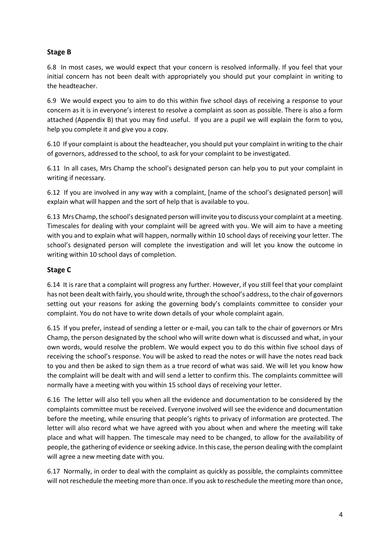# **Stage B**

6.8 In most cases, we would expect that your concern is resolved informally. If you feel that your initial concern has not been dealt with appropriately you should put your complaint in writing to the headteacher.

6.9 We would expect you to aim to do this within five school days of receiving a response to your concern as it is in everyone's interest to resolve a complaint as soon as possible. There is also a form attached (Appendix B) that you may find useful. If you are a pupil we will explain the form to you, help you complete it and give you a copy.

6.10 If your complaint is about the headteacher, you should put your complaint in writing to the chair of governors, addressed to the school, to ask for your complaint to be investigated.

6.11 In all cases, Mrs Champ the school's designated person can help you to put your complaint in writing if necessary.

6.12 If you are involved in any way with a complaint, [name of the school's designated person] will explain what will happen and the sort of help that is available to you.

6.13 Mrs Champ, the school's designated person will invite you to discuss your complaint at a meeting. Timescales for dealing with your complaint will be agreed with you. We will aim to have a meeting with you and to explain what will happen, normally within 10 school days of receiving your letter. The school's designated person will complete the investigation and will let you know the outcome in writing within 10 school days of completion.

## **Stage C**

6.14 It is rare that a complaint will progress any further. However, if you still feel that your complaint has not been dealt with fairly, you should write, through the school's address, to the chair of governors setting out your reasons for asking the governing body's complaints committee to consider your complaint. You do not have to write down details of your whole complaint again.

6.15 If you prefer, instead of sending a letter or e-mail, you can talk to the chair of governors or Mrs Champ, the person designated by the school who will write down what is discussed and what, in your own words, would resolve the problem. We would expect you to do this within five school days of receiving the school's response. You will be asked to read the notes or will have the notes read back to you and then be asked to sign them as a true record of what was said. We will let you know how the complaint will be dealt with and will send a letter to confirm this. The complaints committee will normally have a meeting with you within 15 school days of receiving your letter.

6.16 The letter will also tell you when all the evidence and documentation to be considered by the complaints committee must be received. Everyone involved will see the evidence and documentation before the meeting, while ensuring that people's rights to privacy of information are protected. The letter will also record what we have agreed with you about when and where the meeting will take place and what will happen. The timescale may need to be changed, to allow for the availability of people, the gathering of evidence or seeking advice. In this case, the person dealing with the complaint will agree a new meeting date with you.

6.17 Normally, in order to deal with the complaint as quickly as possible, the complaints committee will not reschedule the meeting more than once. If you ask to reschedule the meeting more than once,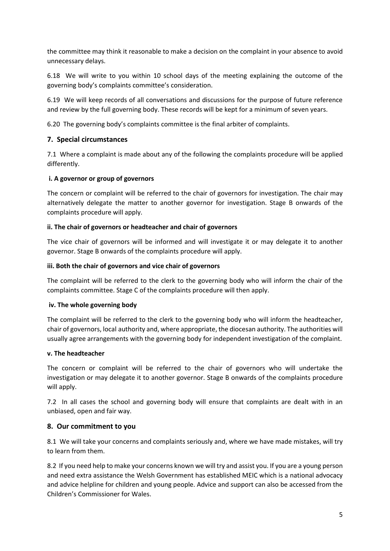the committee may think it reasonable to make a decision on the complaint in your absence to avoid unnecessary delays.

6.18 We will write to you within 10 school days of the meeting explaining the outcome of the governing body's complaints committee's consideration.

6.19 We will keep records of all conversations and discussions for the purpose of future reference and review by the full governing body. These records will be kept for a minimum of seven years.

6.20 The governing body's complaints committee is the final arbiter of complaints.

## **7. Special circumstances**

7.1 Where a complaint is made about any of the following the complaints procedure will be applied differently.

#### **i. A governor or group of governors**

The concern or complaint will be referred to the chair of governors for investigation. The chair may alternatively delegate the matter to another governor for investigation. Stage B onwards of the complaints procedure will apply.

#### **ii. The chair of governors or headteacher and chair of governors**

The vice chair of governors will be informed and will investigate it or may delegate it to another governor. Stage B onwards of the complaints procedure will apply.

#### **iii. Both the chair of governors and vice chair of governors**

The complaint will be referred to the clerk to the governing body who will inform the chair of the complaints committee. Stage C of the complaints procedure will then apply.

#### **iv. The whole governing body**

The complaint will be referred to the clerk to the governing body who will inform the headteacher, chair of governors, local authority and, where appropriate, the diocesan authority. The authorities will usually agree arrangements with the governing body for independent investigation of the complaint.

#### **v. The headteacher**

The concern or complaint will be referred to the chair of governors who will undertake the investigation or may delegate it to another governor. Stage B onwards of the complaints procedure will apply.

7.2 In all cases the school and governing body will ensure that complaints are dealt with in an unbiased, open and fair way.

## **8. Our commitment to you**

8.1 We will take your concerns and complaints seriously and, where we have made mistakes, will try to learn from them.

8.2 If you need help to make your concerns known we will try and assist you. If you are a young person and need extra assistance the Welsh Government has established MEIC which is a national advocacy and advice helpline for children and young people. Advice and support can also be accessed from the Children's Commissioner for Wales.